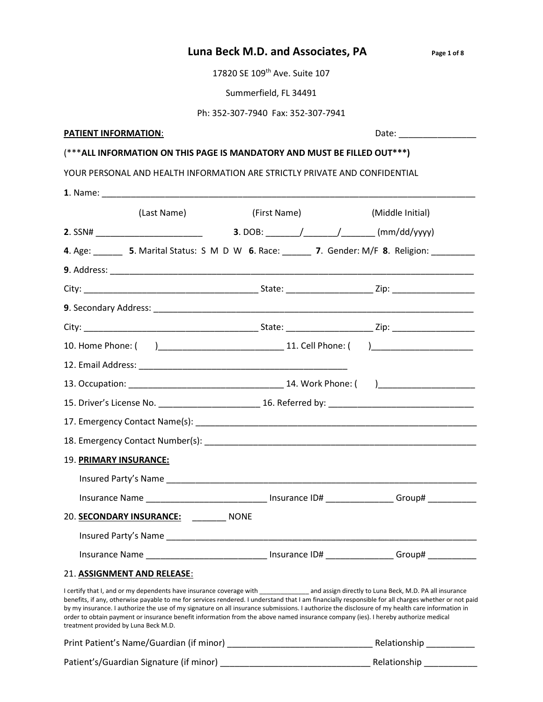| Luna Beck M.D. and Associates, PA | Page 1 of 8 |
|-----------------------------------|-------------|
|                                   |             |

17820 SE 109<sup>th</sup> Ave. Suite 107

Summerfield, FL 34491

Ph: 352-307-7940 Fax: 352-307-7941

## PATIENT INFORMATION: We have a set of the contract of the contract of the contract of the contract of the contract of the contract of the contract of the contract of the contract of the contract of the contract of the cont

## (\*\*\*ALL INFORMATION ON THIS PAGE IS MANDATORY AND MUST BE FILLED OUT\*\*\*)

YOUR PERSONAL AND HEALTH INFORMATION ARE STRICTLY PRIVATE AND CONFIDENTIAL

|                                      | (Last Name)                                                                                                                                                                                                                                                                                                                                                                                                                          | (First Name) | (Middle Initial)                                                                                                                                    |
|--------------------------------------|--------------------------------------------------------------------------------------------------------------------------------------------------------------------------------------------------------------------------------------------------------------------------------------------------------------------------------------------------------------------------------------------------------------------------------------|--------------|-----------------------------------------------------------------------------------------------------------------------------------------------------|
|                                      |                                                                                                                                                                                                                                                                                                                                                                                                                                      |              |                                                                                                                                                     |
|                                      |                                                                                                                                                                                                                                                                                                                                                                                                                                      |              | 4. Age: 5. Marital Status: S M D W 6. Race: 7. Gender: M/F 8. Religion:                                                                             |
|                                      |                                                                                                                                                                                                                                                                                                                                                                                                                                      |              |                                                                                                                                                     |
|                                      |                                                                                                                                                                                                                                                                                                                                                                                                                                      |              |                                                                                                                                                     |
|                                      |                                                                                                                                                                                                                                                                                                                                                                                                                                      |              |                                                                                                                                                     |
|                                      |                                                                                                                                                                                                                                                                                                                                                                                                                                      |              |                                                                                                                                                     |
|                                      |                                                                                                                                                                                                                                                                                                                                                                                                                                      |              |                                                                                                                                                     |
|                                      |                                                                                                                                                                                                                                                                                                                                                                                                                                      |              |                                                                                                                                                     |
|                                      |                                                                                                                                                                                                                                                                                                                                                                                                                                      |              |                                                                                                                                                     |
|                                      |                                                                                                                                                                                                                                                                                                                                                                                                                                      |              |                                                                                                                                                     |
|                                      |                                                                                                                                                                                                                                                                                                                                                                                                                                      |              |                                                                                                                                                     |
|                                      |                                                                                                                                                                                                                                                                                                                                                                                                                                      |              |                                                                                                                                                     |
| 19. PRIMARY INSURANCE:               |                                                                                                                                                                                                                                                                                                                                                                                                                                      |              |                                                                                                                                                     |
|                                      |                                                                                                                                                                                                                                                                                                                                                                                                                                      |              |                                                                                                                                                     |
|                                      |                                                                                                                                                                                                                                                                                                                                                                                                                                      |              | Insurance Name _________________________________ Insurance ID# _________________ Group# ____________                                                |
|                                      | 20. SECONDARY INSURANCE: _________ NONE                                                                                                                                                                                                                                                                                                                                                                                              |              |                                                                                                                                                     |
|                                      |                                                                                                                                                                                                                                                                                                                                                                                                                                      |              |                                                                                                                                                     |
|                                      |                                                                                                                                                                                                                                                                                                                                                                                                                                      |              | Insurance Name _________________________________ Insurance ID# ________________Group# _____________                                                 |
|                                      | 21. ASSIGNMENT AND RELEASE:                                                                                                                                                                                                                                                                                                                                                                                                          |              |                                                                                                                                                     |
| treatment provided by Luna Beck M.D. | I certify that I, and or my dependents have insurance coverage with _________________ and assign directly to Luna Beck, M.D. PA all insurance<br>by my insurance. I authorize the use of my signature on all insurance submissions. I authorize the disclosure of my health care information in<br>order to obtain payment or insurance benefit information from the above named insurance company (ies). I hereby authorize medical |              | benefits, if any, otherwise payable to me for services rendered. I understand that I am financially responsible for all charges whether or not paid |
|                                      |                                                                                                                                                                                                                                                                                                                                                                                                                                      |              | Relationship __________                                                                                                                             |
|                                      |                                                                                                                                                                                                                                                                                                                                                                                                                                      |              |                                                                                                                                                     |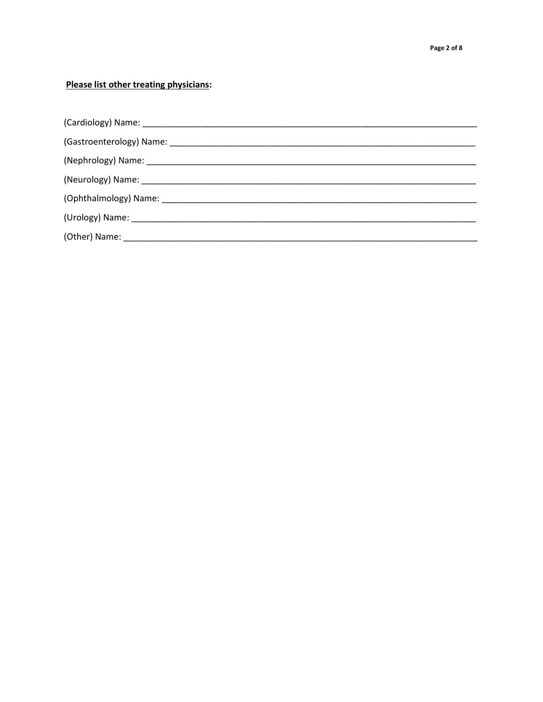## Please list other treating physicians: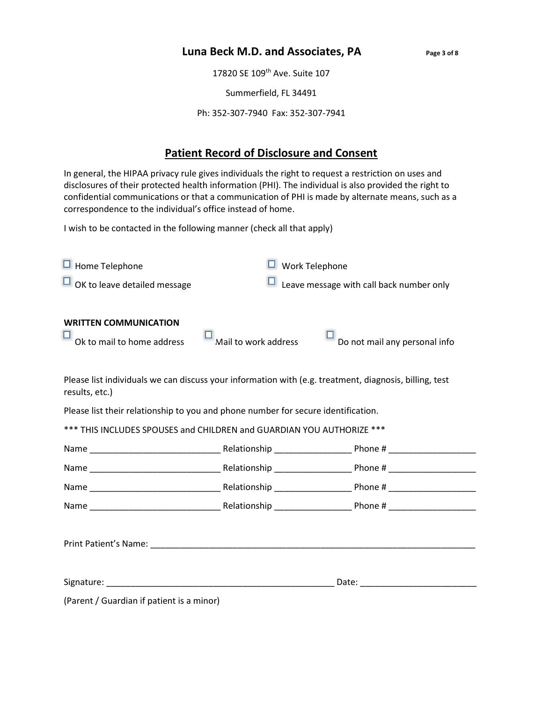## Luna Beck M.D. and Associates, PA Page 3 of 8

17820 SE 109<sup>th</sup> Ave. Suite 107

Summerfield, FL 34491

Ph: 352-307-7940 Fax: 352-307-7941

## Patient Record of Disclosure and Consent

In general, the HIPAA privacy rule gives individuals the right to request a restriction on uses and disclosures of their protected health information (PHI). The individual is also provided the right to confidential communications or that a communication of PHI is made by alternate means, such as a correspondence to the individual's office instead of home.

I wish to be contacted in the following manner (check all that apply)

| $\Box$ Home Telephone                                                                                                    | $\Box$ Work Telephone                    |                               |  |  |
|--------------------------------------------------------------------------------------------------------------------------|------------------------------------------|-------------------------------|--|--|
| $\Box$ OK to leave detailed message                                                                                      | Leave message with call back number only |                               |  |  |
| <b>WRITTEN COMMUNICATION</b><br>Ok to mail to home address                                                               | Mail to work address                     | Do not mail any personal info |  |  |
| Please list individuals we can discuss your information with (e.g. treatment, diagnosis, billing, test<br>results, etc.) |                                          |                               |  |  |
| Please list their relationship to you and phone number for secure identification.                                        |                                          |                               |  |  |
| *** THIS INCLUDES SPOUSES and CHILDREN and GUARDIAN YOU AUTHORIZE ***                                                    |                                          |                               |  |  |
|                                                                                                                          |                                          |                               |  |  |
|                                                                                                                          |                                          |                               |  |  |
|                                                                                                                          |                                          |                               |  |  |
|                                                                                                                          |                                          |                               |  |  |
|                                                                                                                          |                                          |                               |  |  |
|                                                                                                                          |                                          |                               |  |  |
| (Parent / Guardian if patient is a minor)                                                                                |                                          |                               |  |  |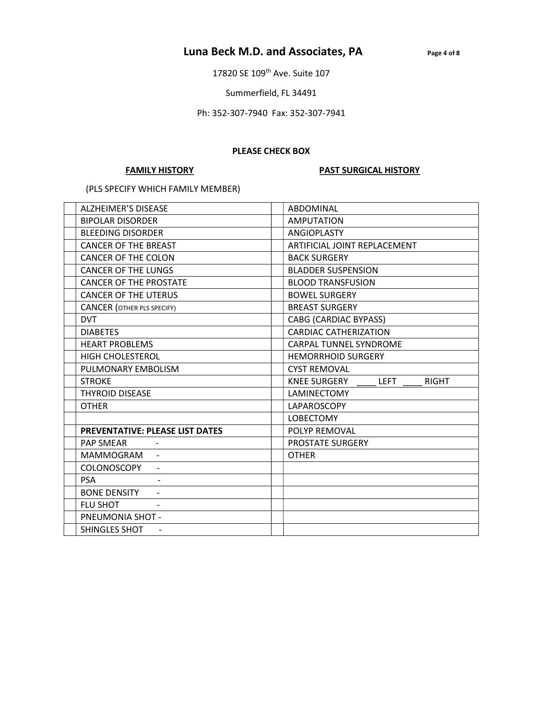## Luna Beck M.D. and Associates, PA Page 4 of 8

17820 SE 109<sup>th</sup> Ave. Suite 107

Summerfield, FL 34491

Ph: 352-307-7940 Fax: 352-307-7941

#### PLEASE CHECK BOX

#### FAMILY HISTORY **PAST SURGICAL HISTORY**

(PLS SPECIFY WHICH FAMILY MEMBER)

| <b>ALZHEIMER'S DISEASE</b>             | ABDOMINAL                                          |  |
|----------------------------------------|----------------------------------------------------|--|
| <b>BIPOLAR DISORDER</b>                | <b>AMPUTATION</b>                                  |  |
| <b>BLEEDING DISORDER</b>               | ANGIOPLASTY                                        |  |
| <b>CANCER OF THE BREAST</b>            | ARTIFICIAL JOINT REPLACEMENT                       |  |
| <b>CANCER OF THE COLON</b>             | <b>BACK SURGERY</b>                                |  |
| <b>CANCER OF THE LUNGS</b>             | <b>BLADDER SUSPENSION</b>                          |  |
| <b>CANCER OF THE PROSTATE</b>          | <b>BLOOD TRANSFUSION</b>                           |  |
| <b>CANCER OF THE UTERUS</b>            | <b>BOWEL SURGERY</b>                               |  |
| <b>CANCER</b> (OTHER PLS SPECIFY)      | <b>BREAST SURGERY</b>                              |  |
| <b>DVT</b>                             | <b>CABG (CARDIAC BYPASS)</b>                       |  |
| <b>DIABETES</b>                        | <b>CARDIAC CATHERIZATION</b>                       |  |
| <b>HEART PROBLEMS</b>                  | <b>CARPAL TUNNEL SYNDROME</b>                      |  |
| <b>HIGH CHOLESTEROL</b>                | <b>HEMORRHOID SURGERY</b>                          |  |
| PULMONARY EMBOLISM                     | <b>CYST REMOVAL</b>                                |  |
| <b>STROKE</b>                          | <b>KNEE SURGERY</b><br><b>LEFT</b><br><b>RIGHT</b> |  |
| <b>THYROID DISEASE</b>                 | LAMINECTOMY                                        |  |
| <b>OTHER</b>                           | LAPAROSCOPY                                        |  |
|                                        | <b>LOBECTOMY</b>                                   |  |
| <b>PREVENTATIVE: PLEASE LIST DATES</b> | POLYP REMOVAL                                      |  |
| <b>PAP SMEAR</b>                       | PROSTATE SURGERY                                   |  |
| MAMMOGRAM                              | <b>OTHER</b>                                       |  |
| COLONOSCOPY                            |                                                    |  |
| <b>PSA</b>                             |                                                    |  |
| <b>BONE DENSITY</b>                    |                                                    |  |
| <b>FLU SHOT</b>                        |                                                    |  |
| PNEUMONIA SHOT -                       |                                                    |  |
| SHINGLES SHOT                          |                                                    |  |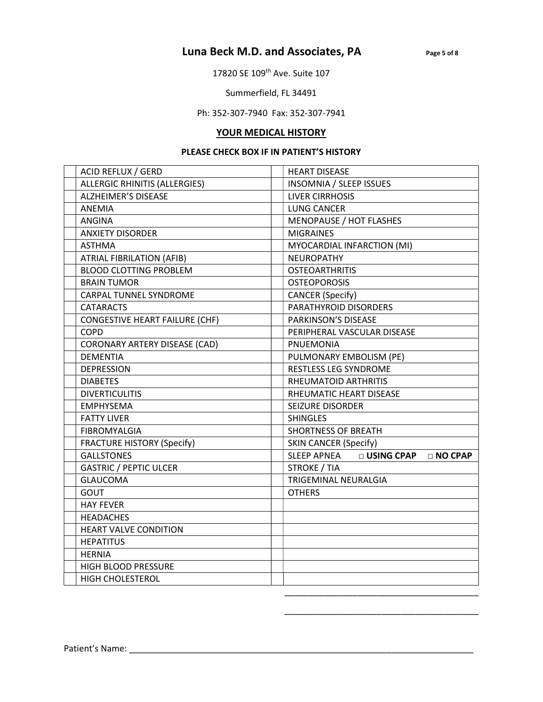## Luna Beck M.D. and Associates, PA Page 5 of 8

17820 SE 109<sup>th</sup> Ave. Suite 107

Summerfield, FL 34491

Ph: 352-307-7940 Fax: 352-307-7941

## YOUR MEDICAL HISTORY

### PLEASE CHECK BOX IF IN PATIENT'S HISTORY

| ACID REFLUX / GERD                   | <b>HEART DISEASE</b>                            |  |  |
|--------------------------------------|-------------------------------------------------|--|--|
| <b>ALLERGIC RHINITIS (ALLERGIES)</b> | <b>INSOMNIA / SLEEP ISSUES</b>                  |  |  |
| <b>ALZHEIMER'S DISEASE</b>           | <b>LIVER CIRRHOSIS</b>                          |  |  |
| ANEMIA                               | <b>LUNG CANCER</b>                              |  |  |
| <b>ANGINA</b>                        | <b>MENOPAUSE / HOT FLASHES</b>                  |  |  |
| <b>ANXIETY DISORDER</b>              | <b>MIGRAINES</b>                                |  |  |
| <b>ASTHMA</b>                        | MYOCARDIAL INFARCTION (MI)                      |  |  |
| ATRIAL FIBRILATION (AFIB)            | <b>NEUROPATHY</b>                               |  |  |
| <b>BLOOD CLOTTING PROBLEM</b>        | <b>OSTEOARTHRITIS</b>                           |  |  |
| <b>BRAIN TUMOR</b>                   | <b>OSTEOPOROSIS</b>                             |  |  |
| CARPAL TUNNEL SYNDROME               | <b>CANCER</b> (Specify)                         |  |  |
| <b>CATARACTS</b>                     | PARATHYROID DISORDERS                           |  |  |
| CONGESTIVE HEART FAILURE (CHF)       | PARKINSON'S DISEASE                             |  |  |
| <b>COPD</b>                          | PERIPHERAL VASCULAR DISEASE                     |  |  |
| <b>CORONARY ARTERY DISEASE (CAD)</b> | <b>PNUEMONIA</b>                                |  |  |
| <b>DEMENTIA</b>                      | PULMONARY EMBOLISM (PE)                         |  |  |
| <b>DEPRESSION</b>                    | <b>RESTLESS LEG SYNDROME</b>                    |  |  |
| <b>DIABETES</b>                      | RHEUMATOID ARTHRITIS                            |  |  |
| <b>DIVERTICULITIS</b>                | RHEUMATIC HEART DISEASE                         |  |  |
| <b>EMPHYSEMA</b>                     | <b>SEIZURE DISORDER</b>                         |  |  |
| <b>FATTY LIVER</b>                   | <b>SHINGLES</b>                                 |  |  |
| FIBROMYALGIA                         | <b>SHORTNESS OF BREATH</b>                      |  |  |
| <b>FRACTURE HISTORY (Specify)</b>    | <b>SKIN CANCER (Specify)</b>                    |  |  |
| <b>GALLSTONES</b>                    | □ USING CPAP<br><b>SLEEP APNEA</b><br>□ NO CPAP |  |  |
| <b>GASTRIC / PEPTIC ULCER</b>        | <b>STROKE / TIA</b>                             |  |  |
| <b>GLAUCOMA</b>                      | TRIGEMINAL NEURALGIA                            |  |  |
| <b>GOUT</b>                          | <b>OTHERS</b>                                   |  |  |
| <b>HAY FEVER</b>                     |                                                 |  |  |
| <b>HEADACHES</b>                     |                                                 |  |  |
| <b>HEART VALVE CONDITION</b>         |                                                 |  |  |
| <b>HEPATITUS</b>                     |                                                 |  |  |
| <b>HERNIA</b>                        |                                                 |  |  |
| HIGH BLOOD PRESSURE                  |                                                 |  |  |
| <b>HIGH CHOLESTEROL</b>              |                                                 |  |  |
|                                      |                                                 |  |  |

\_\_\_\_\_\_\_\_\_\_\_\_\_\_\_\_\_\_\_\_\_\_\_\_\_\_\_\_\_\_\_\_\_\_\_\_\_\_\_\_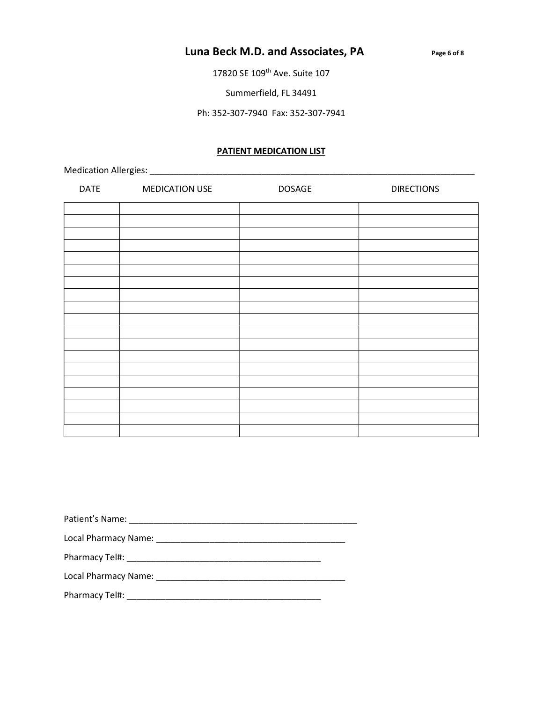## Luna Beck M.D. and Associates, PA Page 6 of 8

17820 SE 109<sup>th</sup> Ave. Suite 107

Summerfield, FL 34491

Ph: 352-307-7940 Fax: 352-307-7941

### PATIENT MEDICATION LIST

Medication Allergies: \_\_\_\_\_\_\_\_\_\_\_\_\_\_\_\_\_\_\_\_\_\_\_\_\_\_\_\_\_\_\_\_\_\_\_\_\_\_\_\_\_\_\_\_\_\_\_\_\_\_\_\_\_\_\_\_\_\_\_\_\_\_\_\_\_\_\_

| <b>DATE</b> | <b>MEDICATION USE</b> | <b>DOSAGE</b> | <b>DIRECTIONS</b> |
|-------------|-----------------------|---------------|-------------------|
|             |                       |               |                   |
|             |                       |               |                   |
|             |                       |               |                   |
|             |                       |               |                   |
|             |                       |               |                   |
|             |                       |               |                   |
|             |                       |               |                   |
|             |                       |               |                   |
|             |                       |               |                   |
|             |                       |               |                   |
|             |                       |               |                   |
|             |                       |               |                   |
|             |                       |               |                   |
|             |                       |               |                   |
|             |                       |               |                   |
|             |                       |               |                   |
|             |                       |               |                   |
|             |                       |               |                   |
|             |                       |               |                   |

Patient's Name: \_\_\_\_\_\_\_\_\_\_\_\_\_\_\_\_\_\_\_\_\_\_\_\_\_\_\_\_\_\_\_\_\_\_\_\_\_\_\_\_\_\_\_\_\_\_\_

Local Pharmacy Name: \_\_\_\_\_\_\_\_\_\_\_\_\_\_\_\_\_\_\_\_\_\_\_\_\_\_\_\_\_\_\_\_\_\_\_\_\_\_\_

Pharmacy Tel#: \_\_\_\_\_\_\_\_\_\_\_\_\_\_\_\_\_\_\_\_\_\_\_\_\_\_\_\_\_\_\_\_\_\_\_\_\_\_\_\_

Local Pharmacy Name: \_\_\_\_\_\_\_\_\_\_\_\_\_\_\_\_\_\_\_\_\_\_\_\_\_\_\_\_\_\_\_\_\_\_\_\_\_\_\_

Pharmacy Tel#: \_\_\_\_\_\_\_\_\_\_\_\_\_\_\_\_\_\_\_\_\_\_\_\_\_\_\_\_\_\_\_\_\_\_\_\_\_\_\_\_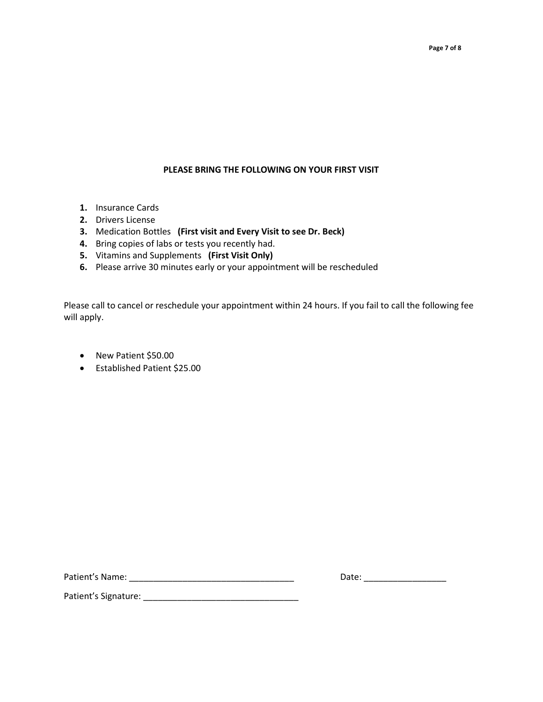# PLEASE BRING THE FOLLOWING ON YOUR FIRST VISIT

- 1. Insurance Cards
- 2. Drivers License
- 3. Medication Bottles (First visit and Every Visit to see Dr. Beck)
- 4. Bring copies of labs or tests you recently had.
- 5. Vitamins and Supplements (First Visit Only)
- 6. Please arrive 30 minutes early or your appointment will be rescheduled

Please call to cancel or reschedule your appointment within 24 hours. If you fail to call the following fee will apply.

- New Patient \$50.00
- Established Patient \$25.00

Patient's Name: \_\_\_\_\_\_\_\_\_\_\_\_\_\_\_\_\_\_\_\_\_\_\_\_\_\_\_\_\_\_\_\_\_\_ Date: \_\_\_\_\_\_\_\_\_\_\_\_\_\_\_\_\_

Patient's Signature: \_\_\_\_\_\_\_\_\_\_\_\_\_\_\_\_\_\_\_\_\_\_\_\_\_\_\_\_\_\_\_\_